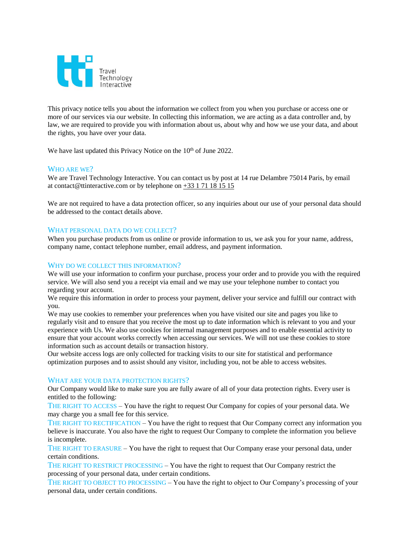

This privacy notice tells you about the information we collect from you when you purchase or access one or more of our services via our website. In collecting this information, we are acting as a data controller and, by law, we are required to provide you with information about us, about why and how we use your data, and about the rights, you have over your data.

We have last updated this Privacy Notice on the 10<sup>th</sup> of June 2022.

# WHO ARE WE?

We are Travel Technology Interactive. You can contact us by post at 14 rue Delambre 75014 Paris, by email at contact@ttinteractive.com or by telephone on +33 1 71 18 15 15

We are not required to have a data protection officer, so any inquiries about our use of your personal data should be addressed to the contact details above.

### WHAT PERSONAL DATA DO WE COLLECT?

When you purchase products from us online or provide information to us, we ask you for your name, address, company name, contact telephone number, email address, and payment information.

### WHY DO WE COLLECT THIS INFORMATION?

We will use your information to confirm your purchase, process your order and to provide you with the required service. We will also send you a receipt via email and we may use your telephone number to contact you regarding your account.

We require this information in order to process your payment, deliver your service and fulfill our contract with you.

We may use cookies to remember your preferences when you have visited our site and pages you like to regularly visit and to ensure that you receive the most up to date information which is relevant to you and your experience with Us. We also use cookies for internal management purposes and to enable essential activity to ensure that your account works correctly when accessing our services. We will not use these cookies to store information such as account details or transaction history.

Our website access logs are only collected for tracking visits to our site for statistical and performance optimization purposes and to assist should any visitor, including you, not be able to access websites.

#### WHAT ARE YOUR DATA PROTECTION RIGHTS?

Our Company would like to make sure you are fully aware of all of your data protection rights. Every user is entitled to the following:

THE RIGHT TO ACCESS – You have the right to request Our Company for copies of your personal data. We may charge you a small fee for this service.

THE RIGHT TO RECTIFICATION – You have the right to request that Our Company correct any information you believe is inaccurate. You also have the right to request Our Company to complete the information you believe is incomplete.

THE RIGHT TO ERASURE – You have the right to request that Our Company erase your personal data, under certain conditions.

THE RIGHT TO RESTRICT PROCESSING – You have the right to request that Our Company restrict the processing of your personal data, under certain conditions.

THE RIGHT TO OBJECT TO PROCESSING – You have the right to object to Our Company's processing of your personal data, under certain conditions.